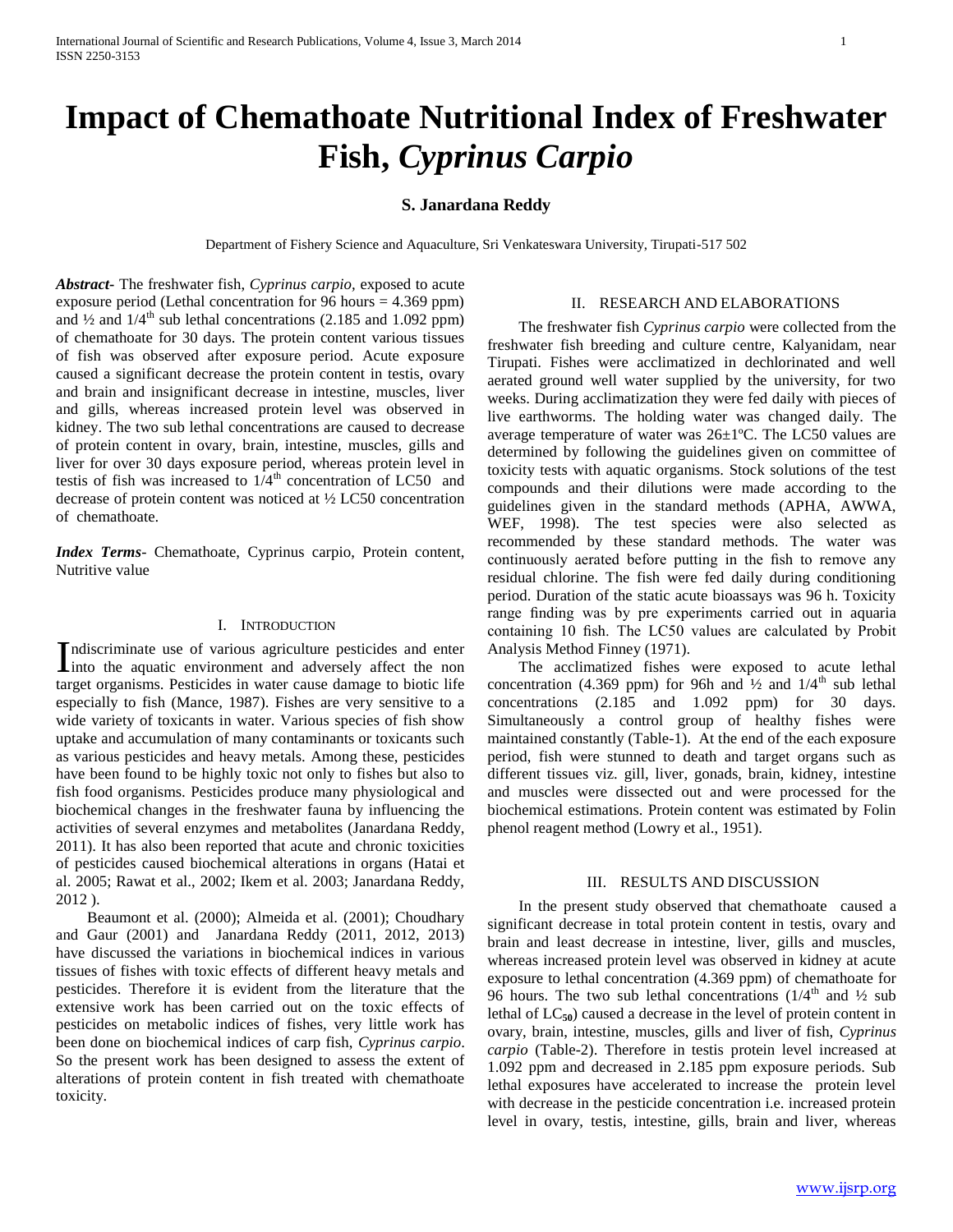# **Impact of Chemathoate Nutritional Index of Freshwater Fish,** *Cyprinus Carpio*

## **S. Janardana Reddy**

Department of Fishery Science and Aquaculture, Sri Venkateswara University, Tirupati-517 502

*Abstract***-** The freshwater fish, *Cyprinus carpio,* exposed to acute exposure period (Lethal concentration for 96 hours = 4.369 ppm) and  $\frac{1}{2}$  and  $\frac{1}{4}$  sub lethal concentrations (2.185 and 1.092 ppm) of chemathoate for 30 days. The protein content various tissues of fish was observed after exposure period. Acute exposure caused a significant decrease the protein content in testis, ovary and brain and insignificant decrease in intestine, muscles, liver and gills, whereas increased protein level was observed in kidney. The two sub lethal concentrations are caused to decrease of protein content in ovary, brain, intestine, muscles, gills and liver for over 30 days exposure period, whereas protein level in testis of fish was increased to  $1/4<sup>th</sup>$  concentration of LC50 and decrease of protein content was noticed at ½ LC50 concentration of chemathoate.

*Index Terms*- Chemathoate, Cyprinus carpio, Protein content, Nutritive value

#### I. INTRODUCTION

ndiscriminate use of various agriculture pesticides and enter Indiscriminate use of various agriculture pesticides and enter<br>into the aquatic environment and adversely affect the non target organisms. Pesticides in water cause damage to biotic life especially to fish (Mance, 1987). Fishes are very sensitive to a wide variety of toxicants in water. Various species of fish show uptake and accumulation of many contaminants or toxicants such as various pesticides and heavy metals. Among these, pesticides have been found to be highly toxic not only to fishes but also to fish food organisms. Pesticides produce many physiological and biochemical changes in the freshwater fauna by influencing the activities of several enzymes and metabolites (Janardana Reddy, 2011). It has also been reported that acute and chronic toxicities of pesticides caused biochemical alterations in organs (Hatai et al. 2005; Rawat et al., 2002; Ikem et al. 2003; Janardana Reddy, 2012 ).

 Beaumont et al. (2000); Almeida et al. (2001); Choudhary and Gaur (2001) and Janardana Reddy (2011, 2012, 2013) have discussed the variations in biochemical indices in various tissues of fishes with toxic effects of different heavy metals and pesticides. Therefore it is evident from the literature that the extensive work has been carried out on the toxic effects of pesticides on metabolic indices of fishes, very little work has been done on biochemical indices of carp fish, *Cyprinus carpio*. So the present work has been designed to assess the extent of alterations of protein content in fish treated with chemathoate toxicity.

#### II. RESEARCH AND ELABORATIONS

 The freshwater fish *Cyprinus carpio* were collected from the freshwater fish breeding and culture centre, Kalyanidam, near Tirupati. Fishes were acclimatized in dechlorinated and well aerated ground well water supplied by the university, for two weeks. During acclimatization they were fed daily with pieces of live earthworms. The holding water was changed daily. The average temperature of water was 26±1ºC. The LC50 values are determined by following the guidelines given on committee of toxicity tests with aquatic organisms. Stock solutions of the test compounds and their dilutions were made according to the guidelines given in the standard methods (APHA, AWWA, WEF, 1998). The test species were also selected as recommended by these standard methods. The water was continuously aerated before putting in the fish to remove any residual chlorine. The fish were fed daily during conditioning period. Duration of the static acute bioassays was 96 h. Toxicity range finding was by pre experiments carried out in aquaria containing 10 fish. The LC50 values are calculated by Probit Analysis Method Finney (1971).

 The acclimatized fishes were exposed to acute lethal concentration (4.369 ppm) for 96h and  $\frac{1}{4}$  and  $\frac{1}{4}$  sub lethal concentrations (2.185 and 1.092 ppm) for 30 days. Simultaneously a control group of healthy fishes were maintained constantly (Table-1). At the end of the each exposure period, fish were stunned to death and target organs such as different tissues viz. gill, liver, gonads, brain, kidney, intestine and muscles were dissected out and were processed for the biochemical estimations. Protein content was estimated by Folin phenol reagent method (Lowry et al., 1951).

#### III. RESULTS AND DISCUSSION

 In the present study observed that chemathoate caused a significant decrease in total protein content in testis, ovary and brain and least decrease in intestine, liver, gills and muscles, whereas increased protein level was observed in kidney at acute exposure to lethal concentration (4.369 ppm) of chemathoate for 96 hours. The two sub lethal concentrations  $(1/4^{\text{th}}$  and  $1/2$  sub lethal of  $LC_{50}$ ) caused a decrease in the level of protein content in ovary, brain, intestine, muscles, gills and liver of fish, *Cyprinus carpio* (Table-2). Therefore in testis protein level increased at 1.092 ppm and decreased in 2.185 ppm exposure periods. Sub lethal exposures have accelerated to increase the protein level with decrease in the pesticide concentration i.e. increased protein level in ovary, testis, intestine, gills, brain and liver, whereas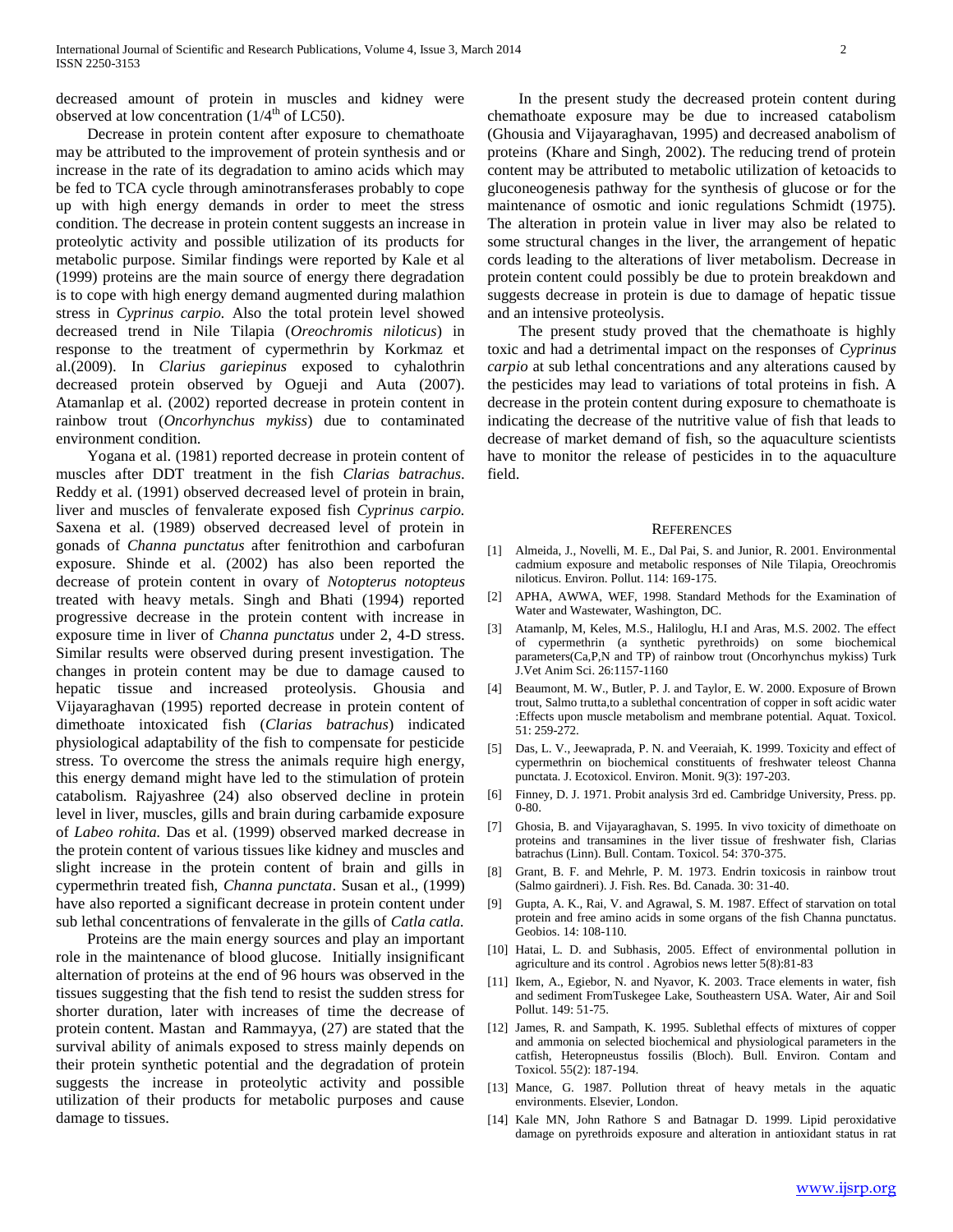decreased amount of protein in muscles and kidney were observed at low concentration  $(1/4^{\text{th}} \text{ of } LC50)$ .

 Decrease in protein content after exposure to chemathoate may be attributed to the improvement of protein synthesis and or increase in the rate of its degradation to amino acids which may be fed to TCA cycle through aminotransferases probably to cope up with high energy demands in order to meet the stress condition. The decrease in protein content suggests an increase in proteolytic activity and possible utilization of its products for metabolic purpose. Similar findings were reported by Kale et al (1999) proteins are the main source of energy there degradation is to cope with high energy demand augmented during malathion stress in *Cyprinus carpio.* Also the total protein level showed decreased trend in Nile Tilapia (*Oreochromis niloticus*) in response to the treatment of cypermethrin by Korkmaz et al.(2009). In *Clarius gariepinus* exposed to cyhalothrin decreased protein observed by Ogueji and Auta (2007). Atamanlap et al. (2002) reported decrease in protein content in rainbow trout (*Oncorhynchus mykiss*) due to contaminated environment condition.

 Yogana et al. (1981) reported decrease in protein content of muscles after DDT treatment in the fish *Clarias batrachus*. Reddy et al. (1991) observed decreased level of protein in brain, liver and muscles of fenvalerate exposed fish *Cyprinus carpio.* Saxena et al. (1989) observed decreased level of protein in gonads of *Channa punctatus* after fenitrothion and carbofuran exposure. Shinde et al. (2002) has also been reported the decrease of protein content in ovary of *Notopterus notopteus* treated with heavy metals. Singh and Bhati (1994) reported progressive decrease in the protein content with increase in exposure time in liver of *Channa punctatus* under 2, 4-D stress. Similar results were observed during present investigation. The changes in protein content may be due to damage caused to hepatic tissue and increased proteolysis. Ghousia and Vijayaraghavan (1995) reported decrease in protein content of dimethoate intoxicated fish (*Clarias batrachus*) indicated physiological adaptability of the fish to compensate for pesticide stress. To overcome the stress the animals require high energy, this energy demand might have led to the stimulation of protein catabolism. Rajyashree (24) also observed decline in protein level in liver, muscles, gills and brain during carbamide exposure of *Labeo rohita.* Das et al. (1999) observed marked decrease in the protein content of various tissues like kidney and muscles and slight increase in the protein content of brain and gills in cypermethrin treated fish, *Channa punctata*. Susan et al., (1999) have also reported a significant decrease in protein content under sub lethal concentrations of fenvalerate in the gills of *Catla catla.*

 Proteins are the main energy sources and play an important role in the maintenance of blood glucose. Initially insignificant alternation of proteins at the end of 96 hours was observed in the tissues suggesting that the fish tend to resist the sudden stress for shorter duration, later with increases of time the decrease of protein content. Mastan and Rammayya, (27) are stated that the survival ability of animals exposed to stress mainly depends on their protein synthetic potential and the degradation of protein suggests the increase in proteolytic activity and possible utilization of their products for metabolic purposes and cause damage to tissues.

 In the present study the decreased protein content during chemathoate exposure may be due to increased catabolism (Ghousia and Vijayaraghavan, 1995) and decreased anabolism of proteins (Khare and Singh, 2002). The reducing trend of protein content may be attributed to metabolic utilization of ketoacids to gluconeogenesis pathway for the synthesis of glucose or for the maintenance of osmotic and ionic regulations Schmidt (1975). The alteration in protein value in liver may also be related to some structural changes in the liver, the arrangement of hepatic cords leading to the alterations of liver metabolism. Decrease in protein content could possibly be due to protein breakdown and suggests decrease in protein is due to damage of hepatic tissue and an intensive proteolysis.

 The present study proved that the chemathoate is highly toxic and had a detrimental impact on the responses of *Cyprinus carpio* at sub lethal concentrations and any alterations caused by the pesticides may lead to variations of total proteins in fish. A decrease in the protein content during exposure to chemathoate is indicating the decrease of the nutritive value of fish that leads to decrease of market demand of fish, so the aquaculture scientists have to monitor the release of pesticides in to the aquaculture field.

#### **REFERENCES**

- [1] Almeida, J., Novelli, M. E., Dal Pai, S. and Junior, R. 2001. Environmental cadmium exposure and metabolic responses of Nile Tilapia, Oreochromis niloticus. Environ. Pollut. 114: 169-175.
- [2] APHA, AWWA, WEF, 1998. Standard Methods for the Examination of Water and Wastewater, Washington, DC.
- [3] Atamanlp, M, Keles, M.S., Haliloglu, H.I and Aras, M.S. 2002. The effect of cypermethrin (a synthetic pyrethroids) on some biochemical parameters(Ca,P,N and TP) of rainbow trout (Oncorhynchus mykiss) Turk J.Vet Anim Sci. 26:1157-1160
- [4] Beaumont, M. W., Butler, P. J. and Taylor, E. W. 2000. Exposure of Brown trout, Salmo trutta,to a sublethal concentration of copper in soft acidic water :Effects upon muscle metabolism and membrane potential. Aquat. Toxicol. 51: 259-272.
- [5] Das, L. V., Jeewaprada, P. N. and Veeraiah, K. 1999. Toxicity and effect of cypermethrin on biochemical constituents of freshwater teleost Channa punctata. J. Ecotoxicol. Environ. Monit. 9(3): 197-203.
- [6] Finney, D. J. 1971. Probit analysis 3rd ed. Cambridge University, Press. pp. 0-80.
- [7] Ghosia, B. and Vijayaraghavan, S. 1995. In vivo toxicity of dimethoate on proteins and transamines in the liver tissue of freshwater fish, Clarias batrachus (Linn). Bull. Contam. Toxicol. 54: 370-375.
- [8] Grant, B. F. and Mehrle, P. M. 1973. Endrin toxicosis in rainbow trout (Salmo gairdneri). J. Fish. Res. Bd. Canada. 30: 31-40.
- [9] Gupta, A. K., Rai, V. and Agrawal, S. M. 1987. Effect of starvation on total protein and free amino acids in some organs of the fish Channa punctatus. Geobios. 14: 108-110.
- [10] Hatai, L. D. and Subhasis, 2005. Effect of environmental pollution in agriculture and its control . Agrobios news letter 5(8):81-83
- [11] Ikem, A., Egiebor, N. and Nyavor, K. 2003. Trace elements in water, fish and sediment FromTuskegee Lake, Southeastern USA. Water, Air and Soil Pollut. 149: 51-75.
- [12] James, R. and Sampath, K. 1995. Sublethal effects of mixtures of copper and ammonia on selected biochemical and physiological parameters in the catfish, Heteropneustus fossilis (Bloch). Bull. Environ. Contam and Toxicol. 55(2): 187-194.
- [13] Mance, G. 1987. Pollution threat of heavy metals in the aquatic environments. Elsevier, London.
- [14] Kale MN, John Rathore S and Batnagar D. 1999. Lipid peroxidative damage on pyrethroids exposure and alteration in antioxidant status in rat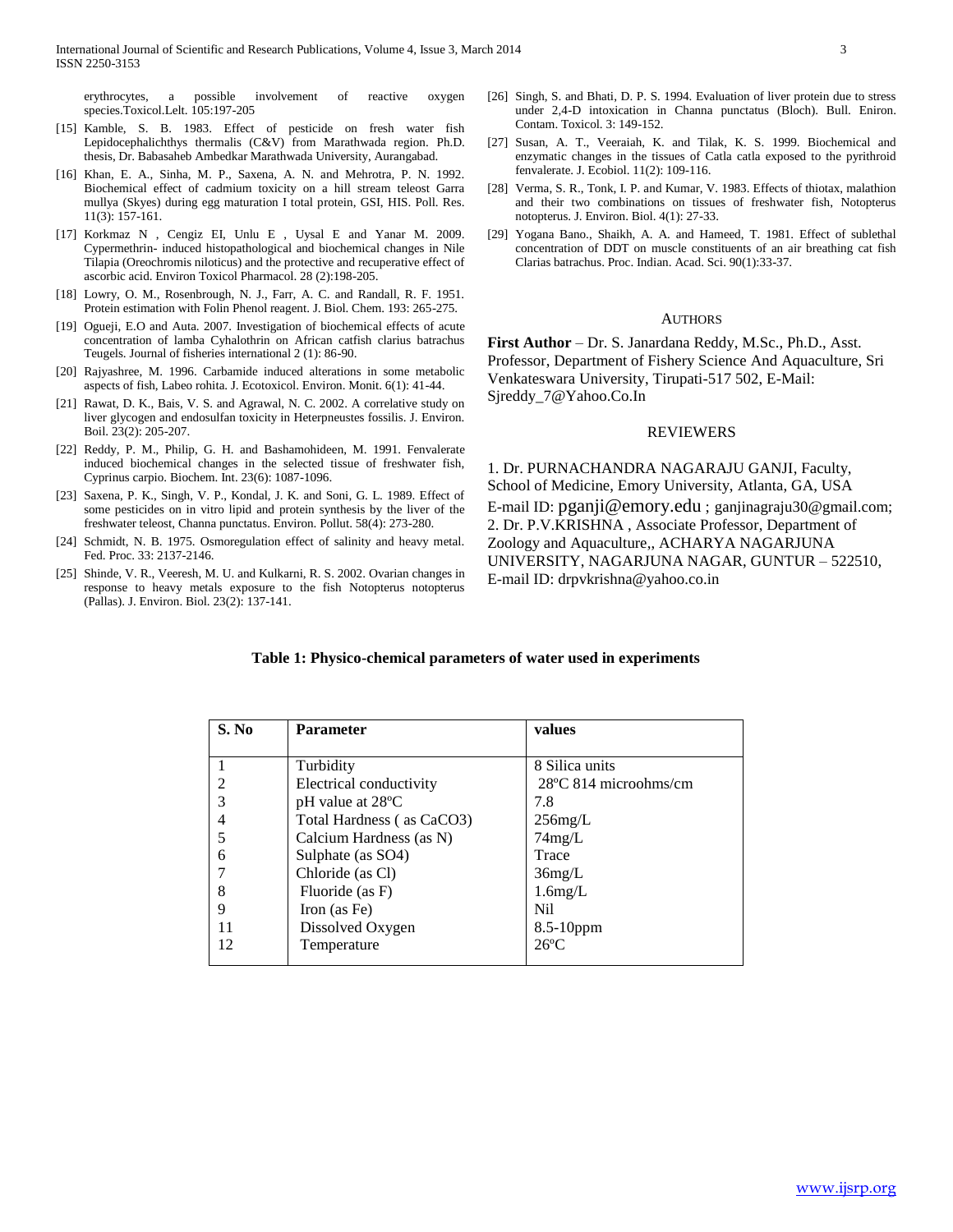erythrocytes, a possible involvement of reactive oxygen species.Toxicol.Lelt. 105:197-205

- [15] Kamble, S. B. 1983. Effect of pesticide on fresh water fish Lepidocephalichthys thermalis (C&V) from Marathwada region. Ph.D. thesis, Dr. Babasaheb Ambedkar Marathwada University, Aurangabad.
- [16] Khan, E. A., Sinha, M. P., Saxena, A. N. and Mehrotra, P. N. 1992. Biochemical effect of cadmium toxicity on a hill stream teleost Garra mullya (Skyes) during egg maturation I total protein, GSI, HIS. Poll. Res. 11(3): 157-161.
- [17] Korkmaz N , Cengiz EI, Unlu E , Uysal E and Yanar M. 2009. Cypermethrin- induced histopathological and biochemical changes in Nile Tilapia (Oreochromis niloticus) and the protective and recuperative effect of ascorbic acid. Environ Toxicol Pharmacol. 28 (2):198-205.
- [18] Lowry, O. M., Rosenbrough, N. J., Farr, A. C. and Randall, R. F. 1951. Protein estimation with Folin Phenol reagent. J. Biol. Chem. 193: 265-275.
- [19] Ogueji, E.O and Auta. 2007. Investigation of biochemical effects of acute concentration of lamba Cyhalothrin on African catfish clarius batrachus Teugels. Journal of fisheries international 2 (1): 86-90.
- [20] Rajyashree, M. 1996. Carbamide induced alterations in some metabolic aspects of fish, Labeo rohita. J. Ecotoxicol. Environ. Monit. 6(1): 41-44.
- [21] Rawat, D. K., Bais, V. S. and Agrawal, N. C. 2002. A correlative study on liver glycogen and endosulfan toxicity in Heterpneustes fossilis. J. Environ. Boil. 23(2): 205-207.
- [22] Reddy, P. M., Philip, G. H. and Bashamohideen, M. 1991. Fenvalerate induced biochemical changes in the selected tissue of freshwater fish, Cyprinus carpio. Biochem. Int. 23(6): 1087-1096.
- [23] Saxena, P. K., Singh, V. P., Kondal, J. K. and Soni, G. L. 1989. Effect of some pesticides on in vitro lipid and protein synthesis by the liver of the freshwater teleost, Channa punctatus. Environ. Pollut. 58(4): 273-280.
- [24] Schmidt, N. B. 1975. Osmoregulation effect of salinity and heavy metal. Fed. Proc. 33: 2137-2146.
- [25] Shinde, V. R., Veeresh, M. U. and Kulkarni, R. S. 2002. Ovarian changes in response to heavy metals exposure to the fish Notopterus notopterus (Pallas). J. Environ. Biol. 23(2): 137-141.
- [26] Singh, S. and Bhati, D. P. S. 1994. Evaluation of liver protein due to stress under 2,4-D intoxication in Channa punctatus (Bloch). Bull. Eniron. Contam. Toxicol. 3: 149-152.
- [27] Susan, A. T., Veeraiah, K. and Tilak, K. S. 1999. Biochemical and enzymatic changes in the tissues of Catla catla exposed to the pyrithroid fenvalerate. J. Ecobiol. 11(2): 109-116.
- [28] Verma, S. R., Tonk, I. P. and Kumar, V. 1983. Effects of thiotax, malathion and their two combinations on tissues of freshwater fish, Notopterus notopterus. J. Environ. Biol. 4(1): 27-33.
- [29] Yogana Bano., Shaikh, A. A. and Hameed, T. 1981. Effect of sublethal concentration of DDT on muscle constituents of an air breathing cat fish Clarias batrachus. Proc. Indian. Acad. Sci. 90(1):33-37.

#### AUTHORS

**First Author** – Dr. S. Janardana Reddy, M.Sc., Ph.D., Asst. Professor, Department of Fishery Science And Aquaculture, Sri Venkateswara University, Tirupati-517 502, E-Mail: Sjreddy\_7@Yahoo.Co.In

### REVIEWERS

1. Dr. PURNACHANDRA NAGARAJU GANJI, Faculty, School of Medicine, Emory University, Atlanta, GA, USA E-mail ID: [pganji@emory.edu](mailto:pganji@emory.edu) ; ganjinagraju30@gmail.com; 2. Dr. P.V.KRISHNA , Associate Professor, Department of Zoology and Aquaculture,, ACHARYA NAGARJUNA UNIVERSITY, NAGARJUNA NAGAR, GUNTUR – 522510, E-mail ID: drpvkrishna@yahoo.co.in

| S. No | <b>Parameter</b>            | values                          |  |
|-------|-----------------------------|---------------------------------|--|
|       |                             |                                 |  |
|       | Turbidity                   | 8 Silica units                  |  |
|       | Electrical conductivity     | $28^{\circ}$ C 814 microohms/cm |  |
|       | $pH$ value at $28^{\circ}C$ | 7.8                             |  |
|       | Total Hardness (as CaCO3)   | $256$ mg/L                      |  |
|       | Calcium Hardness (as N)     | 74mg/L                          |  |
| 6     | Sulphate (as SO4)           | Trace                           |  |
|       | Chloride (as Cl)            | $36$ mg/L                       |  |
| 8     | Fluoride (as F)             | $1.6$ mg/L                      |  |
| 9     | Iron (as Fe)                | N <sub>i</sub>                  |  |
| 11    | Dissolved Oxygen            | $8.5-10$ ppm                    |  |
| 12    | Temperature                 | $26^{\circ}$ C                  |  |

#### **Table 1: Physico-chemical parameters of water used in experiments**